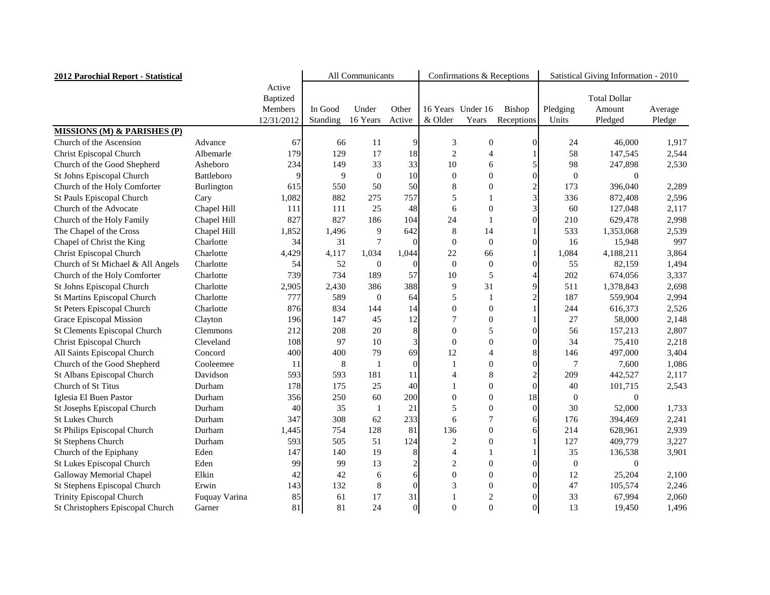| 2012 Parochial Report - Statistical    |                   | All Communicants                                          |                     |                   |                 | Confirmations & Receptions |                            | Satistical Giving Information - 2010 |                   |                                          |                   |
|----------------------------------------|-------------------|-----------------------------------------------------------|---------------------|-------------------|-----------------|----------------------------|----------------------------|--------------------------------------|-------------------|------------------------------------------|-------------------|
|                                        |                   | Active<br><b>Baptized</b><br><b>Members</b><br>12/31/2012 | In Good<br>Standing | Under<br>16 Years | Other<br>Active | & Older                    | 16 Years Under 16<br>Years | Bishop<br>Receptions                 | Pledging<br>Units | <b>Total Dollar</b><br>Amount<br>Pledged | Average<br>Pledge |
| <b>MISSIONS (M) &amp; PARISHES (P)</b> |                   |                                                           |                     |                   |                 |                            |                            |                                      |                   |                                          |                   |
| Church of the Ascension                | Advance           | 67                                                        | 66                  | 11                | $\overline{9}$  | 3                          | $\overline{0}$             | $\overline{0}$                       | 24                | 46,000                                   | 1,917             |
| <b>Christ Episcopal Church</b>         | Albemarle         | 179                                                       | 129                 | 17                | 18              | $\overline{2}$             | 4                          |                                      | 58                | 147,545                                  | 2,544             |
| Church of the Good Shepherd            | Asheboro          | 234                                                       | 149                 | 33                | 33              | 10                         | 6                          |                                      | 98                | 247,898                                  | 2,530             |
| St Johns Episcopal Church              | <b>Battleboro</b> |                                                           | 9                   | $\boldsymbol{0}$  | 10 <sup>1</sup> | $\overline{0}$             | 0                          | $\Omega$                             | $\Omega$          | 0                                        |                   |
| Church of the Holy Comforter           | Burlington        | 615                                                       | 550                 | 50                | 50              | 8                          | 0                          | $\overline{c}$                       | 173               | 396,040                                  | 2,289             |
| St Pauls Episcopal Church              | Cary              | 1,082                                                     | 882                 | 275               | 757             | 5                          |                            | 3                                    | 336               | 872,408                                  | 2,596             |
| Church of the Advocate                 | Chapel Hill       | 111                                                       | 111                 | 25                | 48              | 6                          | 0                          | 3                                    | 60                | 127,048                                  | 2,117             |
| Church of the Holy Family              | Chapel Hill       | 827                                                       | 827                 | 186               | 104             | 24                         |                            | $\Omega$                             | 210               | 629,478                                  | 2,998             |
| The Chapel of the Cross                | Chapel Hill       | 1,852                                                     | 1,496               | 9                 | 642             | 8                          | 14                         |                                      | 533               | 1,353,068                                | 2,539             |
| Chapel of Christ the King              | Charlotte         | 34                                                        | 31                  | $\overline{7}$    | $\vert 0 \vert$ | $\Omega$                   | $\Omega$                   | $\overline{0}$                       | 16                | 15,948                                   | 997               |
| Christ Episcopal Church                | Charlotte         | 4,429                                                     | 4,117               | 1,034             | 1,044           | 22                         | 66                         |                                      | 1,084             | 4,188,211                                | 3,864             |
| Church of St Michael & All Angels      | Charlotte         | 54                                                        | 52                  | $\theta$          | $\Omega$        | $\theta$                   | $\overline{0}$             | $\overline{0}$                       | 55                | 82,159                                   | 1,494             |
| Church of the Holy Comforter           | Charlotte         | 739                                                       | 734                 | 189               | 57              | 10                         | 5                          |                                      | 202               | 674,056                                  | 3,337             |
| St Johns Episcopal Church              | Charlotte         | 2,905                                                     | 2,430               | 386               | 388             | 9                          | 31                         | 9                                    | 511               | 1,378,843                                | 2,698             |
| <b>St Martins Episcopal Church</b>     | Charlotte         | 777                                                       | 589                 | $\boldsymbol{0}$  | 64              | 5                          |                            | $\overline{2}$                       | 187               | 559,904                                  | 2,994             |
| <b>St Peters Episcopal Church</b>      | Charlotte         | 876                                                       | 834                 | 144               | 14              | $\overline{0}$             | 0                          |                                      | 244               | 616,373                                  | 2,526             |
| Grace Episcopal Mission                | Clayton           | 196                                                       | 147                 | 45                | 12              |                            | $\Omega$                   |                                      | 27                | 58,000                                   | 2,148             |
| <b>St Clements Episcopal Church</b>    | <b>Clemmons</b>   | 212                                                       | 208                 | 20                | 8               | $\Omega$                   | 5                          | 0                                    | 56                | 157,213                                  | 2,807             |
| Christ Episcopal Church                | Cleveland         | 108                                                       | 97                  | 10                | $\vert 3 \vert$ | 0                          | 0                          | 0                                    | 34                | 75,410                                   | 2,218             |
| All Saints Episcopal Church            | Concord           | 400                                                       | 400                 | 79                | 69              | 12                         |                            | 8                                    | 146               | 497,000                                  | 3,404             |
| Church of the Good Shepherd            | Cooleemee         | 11                                                        | 8                   |                   | $\vert 0 \vert$ |                            | 0                          | $\Omega$                             |                   | 7,600                                    | 1,086             |
| St Albans Episcopal Church             | Davidson          | 593                                                       | 593                 | 181               | 11              |                            | 8                          | $\overline{2}$                       | 209               | 442,527                                  | 2,117             |
| Church of St Titus                     | Durham            | 178                                                       | 175                 | 25                | 40              |                            | 0                          | $\Omega$                             | 40                | 101,715                                  | 2,543             |
| Iglesia El Buen Pastor                 | Durham            | 356                                                       | 250                 | 60                | 200             | $\overline{0}$             | $\mathbf{0}$               | 18                                   | $\overline{0}$    | $\overline{0}$                           |                   |
| St Josephs Episcopal Church            | Durham            | 40                                                        | 35                  | 1                 | 21              |                            | $\theta$                   | 0                                    | 30                | 52,000                                   | 1,733             |
| <b>St Lukes Church</b>                 | Durham            | 347                                                       | 308                 | 62                | 233             | 6                          |                            | 6                                    | 176               | 394,469                                  | 2,241             |
| St Philips Episcopal Church            | Durham            | 1,445                                                     | 754                 | 128               | 81              | 136                        | $\overline{0}$             | 6                                    | 214               | 628,961                                  | 2,939             |
| <b>St Stephens Church</b>              | Durham            | 593                                                       | 505                 | 51                | 124             | $\overline{2}$             | 0                          |                                      | 127               | 409,779                                  | 3,227             |
| Church of the Epiphany                 | Eden              | 147                                                       | 140                 | 19                | 8               |                            |                            |                                      | 35                | 136,538                                  | 3,901             |
| St Lukes Episcopal Church              | Eden              | 99                                                        | 99                  | 13                |                 | $\overline{2}$             | $\theta$                   | 0                                    | $\theta$          | $\Omega$                                 |                   |
| <b>Galloway Memorial Chapel</b>        | Elkin             | 42                                                        | 42                  | 6                 | $6 \mid$        |                            | 0                          | $\overline{0}$                       | 12                | 25,204                                   | 2,100             |
| St Stephens Episcopal Church           | Erwin             | 143                                                       | 132                 | $8\,$             | $\Omega$        |                            | $\theta$                   | $\overline{0}$                       | 47                | 105,574                                  | 2,246             |
| Trinity Episcopal Church               | Fuquay Varina     | 85                                                        | 61                  | 17                | 31              |                            | $\overline{2}$             | $\overline{0}$                       | 33                | 67,994                                   | 2,060             |
| St Christophers Episcopal Church       | Garner            | 81                                                        | 81                  | 24                | $\vert 0 \vert$ | $\boldsymbol{0}$           | $\boldsymbol{0}$           | $\overline{0}$                       | 13                | 19,450                                   | 1,496             |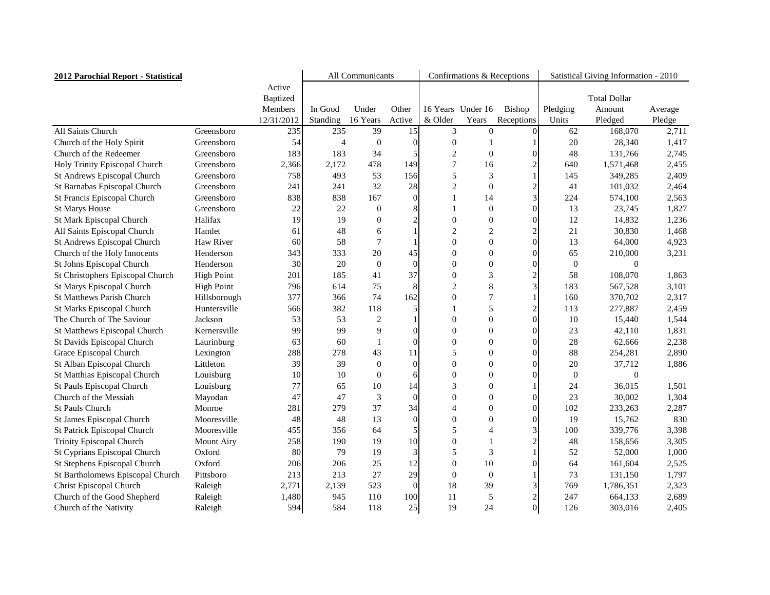| 2012 Parochial Report - Statistical |                   |                    | All Communicants |                  |                 |                  | Confirmations & Receptions |                 | Satistical Giving Information - 2010 |                     |         |
|-------------------------------------|-------------------|--------------------|------------------|------------------|-----------------|------------------|----------------------------|-----------------|--------------------------------------|---------------------|---------|
|                                     |                   | Active<br>Baptized |                  |                  |                 |                  |                            |                 |                                      | <b>Total Dollar</b> |         |
|                                     |                   | Members            | In Good          | Under            | Other           |                  | 16 Years Under 16          | Bishop          | Pledging                             | Amount              | Average |
|                                     |                   | 12/31/2012         | Standing         | 16 Years         | Active          | & Older          | Years                      | Receptions      | Units                                | Pledged             | Pledge  |
| All Saints Church                   | Greensboro        | 235                | 235              | 39               | 15              | 3                | $\overline{0}$             | $\Omega$        | 62                                   | 168,070             | 2,711   |
| Church of the Holy Spirit           | Greensboro        | 54                 |                  | $\Omega$         |                 | $\mathcal{L}$    |                            |                 | 20                                   | 28,340              | 1,417   |
| Church of the Redeemer              | Greensboro        | 183                | 183              | 34               |                 |                  | $\theta$                   |                 | 48                                   | 131,766             | 2,745   |
| Holy Trinity Episcopal Church       | Greensboro        | 2,366              | 2,172            | 478              | 149             |                  | 16                         | $\overline{2}$  | 640                                  | 1,571,468           | 2,455   |
| <b>St Andrews Episcopal Church</b>  | Greensboro        | 758                | 493              | 53               | 156             | 5                | 3                          |                 | 145                                  | 349,285             | 2,409   |
| St Barnabas Episcopal Church        | Greensboro        | 241                | 241              | 32               | 28              | $\overline{2}$   | $\overline{0}$             | $\overline{c}$  | 41                                   | 101,032             | 2,464   |
| St Francis Episcopal Church         | Greensboro        | 838                | 838              | 167              | $\Omega$        |                  | 14                         | 3               | 224                                  | 574,100             | 2,563   |
| <b>St Marys House</b>               | Greensboro        | 22                 | 22               | $\theta$         |                 |                  | $\theta$                   | $\overline{0}$  | 13                                   | 23,745              | 1,827   |
| St Mark Episcopal Church            | Halifax           | 19                 | 19               | $\overline{0}$   | 2               | 0                | 0                          | $\Omega$        | 12                                   | 14,832              | 1,236   |
| All Saints Episcopal Church         | Hamlet            | 61                 | 48               | 6                |                 | ി                | $\overline{2}$             |                 | 21                                   | 30,830              | 1,468   |
| St Andrews Episcopal Church         | Haw River         | 60                 | 58               |                  |                 | 0                | 0                          | $\Omega$        | 13                                   | 64,000              | 4,923   |
| Church of the Holy Innocents        | Henderson         | 343                | 333              | 20               | 45              |                  | 0                          | 0               | 65                                   | 210,000             | 3,231   |
| St Johns Episcopal Church           | Henderson         | 30                 | 20               | $\overline{0}$   | $\Omega$        | 0                | 0                          | $\theta$        | $\Omega$                             |                     |         |
| St Christophers Episcopal Church    | <b>High Point</b> | 201                | 185              | 41               | 37              | 0                | 3                          | $\overline{c}$  | 58                                   | 108,070             | 1,863   |
| St Marys Episcopal Church           | <b>High Point</b> | 796                | 614              | 75               | 8               | $\overline{2}$   | 8                          | 3               | 183                                  | 567,528             | 3,101   |
| <b>St Matthews Parish Church</b>    | Hillsborough      | 377                | 366              | 74               | 162             |                  |                            |                 | 160                                  | 370,702             | 2,317   |
| <b>St Marks Episcopal Church</b>    | Huntersville      | 566                | 382              | 118              |                 |                  | 5                          | $\overline{2}$  | 113                                  | 277,887             | 2,459   |
| The Church of The Saviour           | Jackson           | 53                 | 53               | 2                |                 | $\left($         | 0                          | $\Omega$        | 10                                   | 15,440              | 1,544   |
| <b>St Matthews Episcopal Church</b> | Kernersville      | 99                 | 99               | 9                | $\Omega$        | 0                | 0                          | 0               | 23                                   | 42,110              | 1,831   |
| St Davids Episcopal Church          | Laurinburg        | 63                 | 60               |                  | $\Omega$        | $\Omega$         | 0                          | 0               | 28                                   | 62,666              | 2,238   |
| Grace Episcopal Church              | Lexington         | 288                | 278              | 43               | 11              |                  | 0                          | 0               | 88                                   | 254,281             | 2,890   |
| St Alban Episcopal Church           | Littleton         | 39                 | 39               | $\mathbf{0}$     | $\Omega$        | 0                | 0                          |                 | 20                                   | 37,712              | 1,886   |
| St Matthias Episcopal Church        | Louisburg         | 10                 | 10               | $\boldsymbol{0}$ | 6               |                  | 0                          |                 | $\overline{0}$                       | 0                   |         |
| St Pauls Episcopal Church           | Louisburg         | 77                 | 65               | 10               | 14              | 3                | 0                          |                 | 24                                   | 36,015              | 1,501   |
| Church of the Messiah               | Mayodan           | 47                 | 47               | 3                | $\vert 0 \vert$ | $\boldsymbol{0}$ | $\boldsymbol{0}$           | νı              | 23                                   | 30,002              | 1,304   |
| <b>St Pauls Church</b>              | Monroe            | 281                | 279              | 37               | 34              | Δ                | $\theta$                   | $\overline{0}$  | 102                                  | 233,263             | 2,287   |
| St James Episcopal Church           | Mooresville       | 48                 | 48               | 13               | 0               | $\Omega$         | 0                          | $\overline{0}$  | 19                                   | 15,762              | 830     |
| <b>St Patrick Episcopal Church</b>  | Mooresville       | 455                | 356              | 64               |                 |                  |                            | $\mathfrak{Z}$  | 100                                  | 339,776             | 3,398   |
| Trinity Episcopal Church            | <b>Mount Airy</b> | 258                | 190              | 19               | 10              |                  |                            | $\overline{2}$  | 48                                   | 158,656             | 3,305   |
| St Cyprians Episcopal Church        | Oxford            | 80                 | 79               | 19               | $\vert 3 \vert$ |                  | 3                          |                 | 52                                   | 52,000              | 1,000   |
| St Stephens Episcopal Church        | Oxford            | 206                | 206              | 25               | 12              |                  | 10                         | $\Omega$        | 64                                   | 161,604             | 2,525   |
| St Bartholomews Episcopal Church    | Pittsboro         | 213                | 213              | 27               | 29              | $\Omega$         | $\Omega$                   |                 | 73                                   | 131,150             | 1,797   |
| <b>Christ Episcopal Church</b>      | Raleigh           | 2,771              | 2,139            | 523              | 0               | 18               | 39                         | $\mathfrak{Z}$  | 769                                  | 1,786,351           | 2,323   |
| Church of the Good Shepherd         | Raleigh           | 1,480              | 945              | 110              | 100             | <sup>11</sup>    | 5                          | $\overline{c}$  | 247                                  | 664,133             | 2,689   |
| Church of the Nativity              | Raleigh           | 594                | 584              | 118              | 25              | 19               | 24                         | $\vert 0 \vert$ | 126                                  | 303,016             | 2,405   |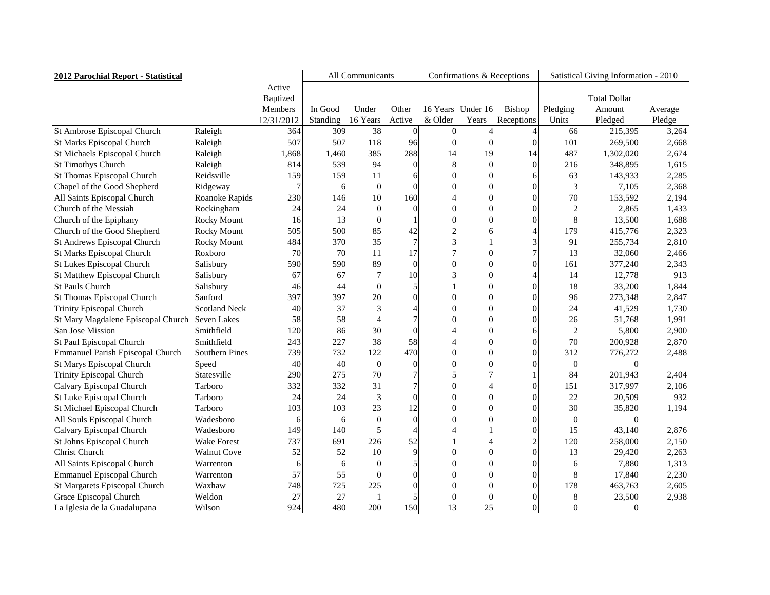| 2012 Parochial Report - Statistical     |                       | All Communicants |          |                  |                 | Confirmations & Receptions |                   | Satistical Giving Information - 2010 |                  |                     |         |
|-----------------------------------------|-----------------------|------------------|----------|------------------|-----------------|----------------------------|-------------------|--------------------------------------|------------------|---------------------|---------|
|                                         |                       | Active           |          |                  |                 |                            |                   |                                      |                  |                     |         |
|                                         |                       | <b>Baptized</b>  |          |                  |                 |                            |                   |                                      |                  | <b>Total Dollar</b> |         |
|                                         |                       | Members          | In Good  | Under            | Other           |                            | 16 Years Under 16 | Bishop                               | Pledging         | Amount              | Average |
|                                         |                       | 12/31/2012       | Standing | 16 Years         | Active          | & Older                    | Years             | Receptions                           | Units            | Pledged             | Pledge  |
| St Ambrose Episcopal Church             | Raleigh               | 364              | 309      | 38               | $\vert 0 \vert$ | $\theta$                   | 4                 |                                      | 66               | 215,395             | 3,264   |
| St Marks Episcopal Church               | Raleigh               | 507              | 507      | 118              | 96              | $\Omega$                   | $\theta$          |                                      | 101              | 269,500             | 2,668   |
| St Michaels Episcopal Church            | Raleigh               | 1,868            | 1,460    | 385              | 288             | 14                         | 19                | 14                                   | 487              | 1,302,020           | 2,674   |
| <b>St Timothys Church</b>               | Raleigh               | 814              | 539      | 94               | $\Omega$        |                            | 0                 | 0                                    | 216              | 348,895             | 1,615   |
| St Thomas Episcopal Church              | Reidsville            | 159              | 159      | 11               | 6               | $\Omega$                   | $\theta$          |                                      | 63               | 143,933             | 2,285   |
| Chapel of the Good Shepherd             | Ridgeway              |                  | 6        | $\boldsymbol{0}$ | $\Omega$        | $\Omega$                   | 0                 |                                      | 3                | 7,105               | 2,368   |
| All Saints Episcopal Church             | Roanoke Rapids        | 230              | 146      | 10               | 160             | $\Delta$                   | 0                 |                                      | 70               | 153,592             | 2,194   |
| Church of the Messiah                   | Rockingham            | 24               | 24       | $\boldsymbol{0}$ | $\Omega$        | $\theta$                   | 0                 |                                      |                  | 2,865               | 1,433   |
| Church of the Epiphany                  | <b>Rocky Mount</b>    | 16               | 13       | $\boldsymbol{0}$ |                 | $\Omega$                   | 0                 |                                      | 8                | 13,500              | 1,688   |
| Church of the Good Shepherd             | <b>Rocky Mount</b>    | 505              | 500      | 85               | 42              | $\overline{2}$             | 6                 |                                      | 179              | 415,776             | 2,323   |
| St Andrews Episcopal Church             | <b>Rocky Mount</b>    | 484              | 370      | 35               |                 | 3                          |                   |                                      | 91               | 255,734             | 2,810   |
| St Marks Episcopal Church               | Roxboro               | 70               | 70       | 11               | 17              |                            |                   |                                      | 13               | 32,060              | 2,466   |
| <b>St Lukes Episcopal Church</b>        | Salisbury             | 590              | 590      | 89               | $\vert 0 \vert$ | $\Omega$                   |                   |                                      | 161              | 377,240             | 2,343   |
| <b>St Matthew Episcopal Church</b>      | Salisbury             | 67               | 67       | 7                | 10              | 3                          | 0                 |                                      | 14               | 12,778              | 913     |
| <b>St Pauls Church</b>                  | Salisbury             | 46               | 44       | $\mathbf{0}$     | 5               |                            | 0                 |                                      | 18               | 33,200              | 1,844   |
| St Thomas Episcopal Church              | Sanford               | 397              | 397      | 20               | $\vert 0 \vert$ | $\Omega$                   | 0                 |                                      | 96               | 273,348             | 2,847   |
| <b>Trinity Episcopal Church</b>         | <b>Scotland Neck</b>  | 40               | 37       | 3                |                 | $\Omega$                   | 0                 |                                      | 24               | 41,529              | 1,730   |
| St Mary Magdalene Episcopal Church      | <b>Seven Lakes</b>    | 58               | 58       |                  |                 | $\Omega$                   | 0                 |                                      | 26               | 51,768              | 1,991   |
| San Jose Mission                        | Smithfield            | 120              | 86       | 30               | $\vert 0 \vert$ |                            | 0                 |                                      | $\overline{2}$   | 5,800               | 2,900   |
| St Paul Episcopal Church                | Smithfield            | 243              | 227      | 38               | 58              |                            | 0                 |                                      | 70               | 200,928             | 2,870   |
| <b>Emmanuel Parish Episcopal Church</b> | <b>Southern Pines</b> | 739              | 732      | 122              | 470             | $\Omega$                   | 0                 |                                      | 312              | 776,272             | 2,488   |
| St Marys Episcopal Church               | Speed                 | 40               | 40       | $\overline{0}$   | $\Omega$        | $\Omega$                   | 0                 |                                      | $\Omega$         | 0                   |         |
| <b>Trinity Episcopal Church</b>         | Statesville           | 290              | 275      | 70               |                 |                            |                   |                                      | 84               | 201,943             | 2,404   |
| Calvary Episcopal Church                | Tarboro               | 332              | 332      | 31               |                 | $\Omega$                   |                   |                                      | 151              | 317,997             | 2,106   |
| St Luke Episcopal Church                | Tarboro               | 24               | 24       | 3                | $\overline{0}$  | $\theta$                   | v                 | U                                    | 22               | 20,509              | 932     |
| St Michael Episcopal Church             | Tarboro               | 103              | 103      | 23               | 12              | $\Omega$                   | 0                 | $\overline{0}$                       | 30               | 35,820              | 1,194   |
| All Souls Episcopal Church              | Wadesboro             | $\mathfrak b$    | 6        | $\boldsymbol{0}$ | $\overline{0}$  | $\Omega$                   | 0                 |                                      | $\theta$         | 0                   |         |
| Calvary Episcopal Church                | Wadesboro             | 149              | 140      | 5                |                 |                            |                   |                                      | 15               | 43,140              | 2,876   |
| St Johns Episcopal Church               | <b>Wake Forest</b>    | 737              | 691      | 226              | 52              |                            |                   | $\overline{2}$                       | 120              | 258,000             | 2,150   |
| <b>Christ Church</b>                    | <b>Walnut Cove</b>    | 52               | 52       | 10               | $\overline{9}$  | $\theta$                   | $\mathbf{\Omega}$ | 0                                    | 13               | 29,420              | 2,263   |
| All Saints Episcopal Church             | Warrenton             |                  | 6        | $\boldsymbol{0}$ |                 | $\theta$                   | $\mathbf{\Omega}$ |                                      | 6                | 7,880               | 1,313   |
| <b>Emmanuel Episcopal Church</b>        | Warrenton             | 57               | 55       | $\mathbf{0}$     | $\overline{0}$  |                            |                   |                                      |                  | 17,840              | 2,230   |
| <b>St Margarets Episcopal Church</b>    | Waxhaw                | 748              | 725      | 225              | $\vert 0 \vert$ | $\theta$                   | $\theta$          |                                      | 178              | 463,763             | 2,605   |
| Grace Episcopal Church                  | Weldon                | 27               | 27       |                  | $\vert 5 \vert$ |                            | 0                 | $\theta$                             | 8                | 23,500              | 2,938   |
| La Iglesia de la Guadalupana            | Wilson                | 924              | 480      | 200              | 150             | 13                         | 25                | $\Omega$                             | $\boldsymbol{0}$ | $\boldsymbol{0}$    |         |